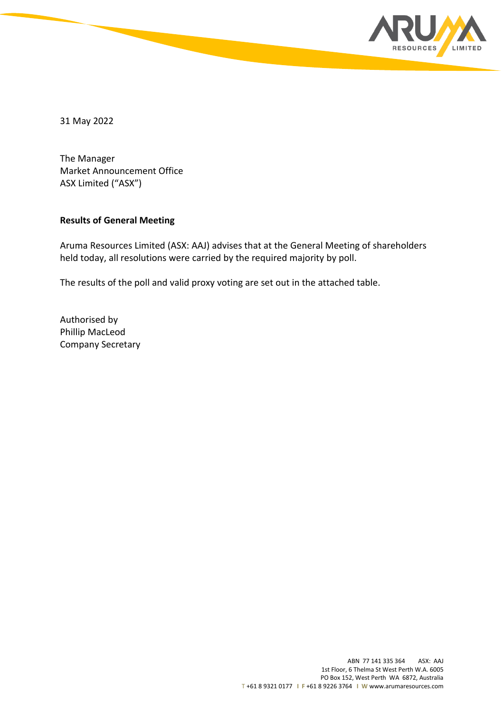

31 May 2022

The Manager Market Announcement Office ASX Limited ("ASX")

## **Results of General Meeting**

Aruma Resources Limited (ASX: AAJ) advises that at the General Meeting of shareholders held today, all resolutions were carried by the required majority by poll.

The results of the poll and valid proxy voting are set out in the attached table.

Authorised by Phillip MacLeod Company Secretary